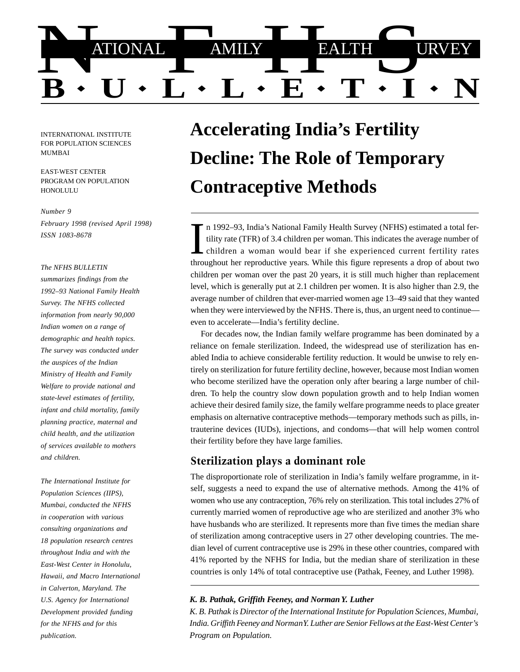

INTERNATIONAL INSTITUTE FOR POPULATION SCIENCES MUMBAI

EAST-WEST CENTER PROGRAM ON POPULATION **HONOLULU** 

#### *Number 9*

*February 1998 (revised April 1998) ISSN 1083-8678*

#### *The NFHS BULLETIN*

*summarizes findings from the 1992–93 National Family Health Survey. The NFHS collected information from nearly 90,000 Indian women on a range of demographic and health topics. The survey was conducted under the auspices of the Indian Ministry of Health and Family Welfare to provide national and state-level estimates of fertility, infant and child mortality, family planning practice, maternal and child health, and the utilization of services available to mothers and children.*

*The International Institute for Population Sciences (IIPS), Mumbai, conducted the NFHS in cooperation with various consulting organizations and 18 population research centres throughout India and with the East-West Center in Honolulu, Hawaii, and Macro International in Calverton, Maryland. The U.S. Agency for International Development provided funding for the NFHS and for this publication.*

# **Accelerating India's Fertility Decline: The Role of Temporary Contraceptive Methods**

n 1992–93, India's National Family Health Survey (NFHS) estimated a total fertility rate (TFR) of 3.4 children per woman. This indicates the average number of children a woman would bear if she experienced current fertility rates throughout her reproductive years. While this figure represents a drop of about two children per woman over the past 20 years, it is still much higher than replacement level, which is generally put at 2.1 children per women. It is also higher than 2.9, the average number of children that ever-married women age 13–49 said that they wanted when they were interviewed by the NFHS. There is, thus, an urgent need to continue even to accelerate—India's fertility decline.

For decades now, the Indian family welfare programme has been dominated by a reliance on female sterilization. Indeed, the widespread use of sterilization has enabled India to achieve considerable fertility reduction. It would be unwise to rely entirely on sterilization for future fertility decline, however, because most Indian women who become sterilized have the operation only after bearing a large number of children. To help the country slow down population growth and to help Indian women achieve their desired family size, the family welfare programme needs to place greater emphasis on alternative contraceptive methods—temporary methods such as pills, intrauterine devices (IUDs), injections, and condoms—that will help women control their fertility before they have large families.

## Sterilization plays a dominant role

The disproportionate role of sterilization in India's family welfare programme, in itself, suggests a need to expand the use of alternative methods. Among the 41% of women who use any contraception, 76% rely on sterilization. This total includes 27% of currently married women of reproductive age who are sterilized and another 3% who have husbands who are sterilized. It represents more than five times the median share of sterilization among contraceptive users in 27 other developing countries. The median level of current contraceptive use is 29% in these other countries, compared with 41% reported by the NFHS for India, but the median share of sterilization in these countries is only 14% of total contraceptive use (Pathak, Feeney, and Luther 1998).

*K. B. Pathak, Griffith Feeney, and Norman Y. Luther*

*K. B. Pathak is Director of the International Institute for Population Sciences, Mumbai, India. Griffith Feeney and Norman Y. Luther are Senior Fellows at the East-West Center's Program on Population.*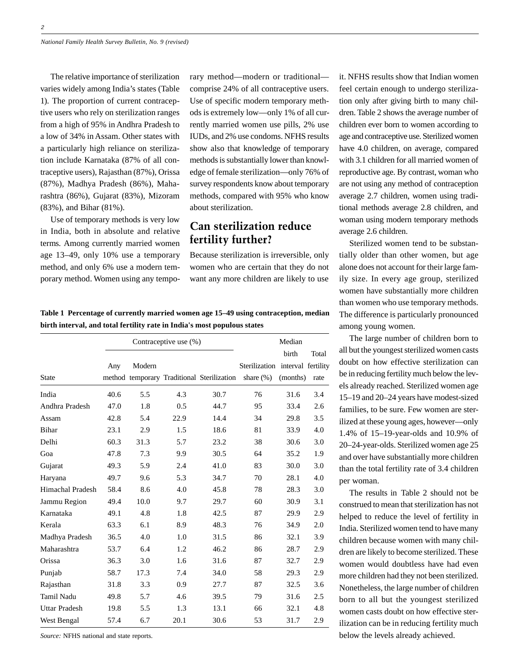The relative importance of sterilization varies widely among India's states (Table 1). The proportion of current contraceptive users who rely on sterilization ranges from a high of 95% in Andhra Pradesh to a low of 34% in Assam. Other states with a particularly high reliance on sterilization include Karnataka (87% of all contraceptive users), Rajasthan (87%), Orissa (87%), Madhya Pradesh (86%), Maharashtra (86%), Gujarat (83%), Mizoram (83%), and Bihar (81%).

Use of temporary methods is very low in India, both in absolute and relative terms. Among currently married women age 13–49, only 10% use a temporary method, and only 6% use a modern temporary method. Women using any temporary method—modern or traditional comprise 24% of all contraceptive users. Use of specific modern temporary methods is extremely low—only 1% of all currently married women use pills, 2% use IUDs, and 2% use condoms. NFHS results show also that knowledge of temporary methods is substantially lower than knowledge of female sterilization—only 76% of survey respondents know about temporary methods, compared with 95% who know about sterilization.

# Can sterilization reduce fertility further?

Because sterilization is irreversible, only women who are certain that they do not want any more children are likely to use it. NFHS results show that Indian women feel certain enough to undergo sterilization only after giving birth to many children. Table 2 shows the average number of children ever born to women according to age and contraceptive use. Sterilized women have 4.0 children, on average, compared with 3.1 children for all married women of reproductive age. By contrast, woman who are not using any method of contraception average 2.7 children, women using traditional methods average 2.8 children, and woman using modern temporary methods average 2.6 children.

Sterilized women tend to be substantially older than other women, but age alone does not account for their large family size. In every age group, sterilized women have substantially more children than women who use temporary methods. The difference is particularly pronounced among young women.

The large number of children born to all but the youngest sterilized women casts doubt on how effective sterilization can be in reducing fertility much below the levels already reached. Sterilized women age 15–19 and 20–24 years have modest-sized families, to be sure. Few women are sterilized at these young ages, however—only 1.4% of 15–19-year-olds and 10.9% of 20–24-year-olds. Sterilized women age 25 and over have substantially more children than the total fertility rate of 3.4 children per woman.

The results in Table 2 should not be construed to mean that sterilization has not helped to reduce the level of fertility in India. Sterilized women tend to have many children because women with many children are likely to become sterilized. These women would doubtless have had even more children had they not been sterilized. Nonetheless, the large number of children born to all but the youngest sterilized women casts doubt on how effective sterilization can be in reducing fertility much below the levels already achieved.

**Table 1 Percentage of currently married women age 15–49 using contraception, median birth interval, and total fertility rate in India's most populous states**

|                         | Contraceptive use (%) |        |      |                                            | Median                           |          |       |
|-------------------------|-----------------------|--------|------|--------------------------------------------|----------------------------------|----------|-------|
|                         |                       |        |      |                                            |                                  | birth    | Total |
|                         | Any                   | Modern |      |                                            | Sterilization interval fertility |          |       |
| <b>State</b>            |                       |        |      | method temporary Traditional Sterilization | share $(\%)$                     | (months) | rate  |
| India                   | 40.6                  | 5.5    | 4.3  | 30.7                                       | 76                               | 31.6     | 3.4   |
| Andhra Pradesh          | 47.0                  | 1.8    | 0.5  | 44.7                                       | 95                               | 33.4     | 2.6   |
| Assam                   | 42.8                  | 5.4    | 22.9 | 14.4                                       | 34                               | 29.8     | 3.5   |
| <b>Bihar</b>            | 23.1                  | 2.9    | 1.5  | 18.6                                       | 81                               | 33.9     | 4.0   |
| Delhi                   | 60.3                  | 31.3   | 5.7  | 23.2                                       | 38                               | 30.6     | 3.0   |
| Goa                     | 47.8                  | 7.3    | 9.9  | 30.5                                       | 64                               | 35.2     | 1.9   |
| Gujarat                 | 49.3                  | 5.9    | 2.4  | 41.0                                       | 83                               | 30.0     | 3.0   |
| Haryana                 | 49.7                  | 9.6    | 5.3  | 34.7                                       | 70                               | 28.1     | 4.0   |
| <b>Himachal Pradesh</b> | 58.4                  | 8.6    | 4.0  | 45.8                                       | 78                               | 28.3     | 3.0   |
| Jammu Region            | 49.4                  | 10.0   | 9.7  | 29.7                                       | 60                               | 30.9     | 3.1   |
| Karnataka               | 49.1                  | 4.8    | 1.8  | 42.5                                       | 87                               | 29.9     | 2.9   |
| Kerala                  | 63.3                  | 6.1    | 8.9  | 48.3                                       | 76                               | 34.9     | 2.0   |
| Madhya Pradesh          | 36.5                  | 4.0    | 1.0  | 31.5                                       | 86                               | 32.1     | 3.9   |
| Maharashtra             | 53.7                  | 6.4    | 1.2  | 46.2                                       | 86                               | 28.7     | 2.9   |
| Orissa                  | 36.3                  | 3.0    | 1.6  | 31.6                                       | 87                               | 32.7     | 2.9   |
| Punjab                  | 58.7                  | 17.3   | 7.4  | 34.0                                       | 58                               | 29.3     | 2.9   |
| Rajasthan               | 31.8                  | 3.3    | 0.9  | 27.7                                       | 87                               | 32.5     | 3.6   |
| <b>Tamil Nadu</b>       | 49.8                  | 5.7    | 4.6  | 39.5                                       | 79                               | 31.6     | 2.5   |
| Uttar Pradesh           | 19.8                  | 5.5    | 1.3  | 13.1                                       | 66                               | 32.1     | 4.8   |
| West Bengal             | 57.4                  | 6.7    | 20.1 | 30.6                                       | 53                               | 31.7     | 2.9   |

*Source:* NFHS national and state reports.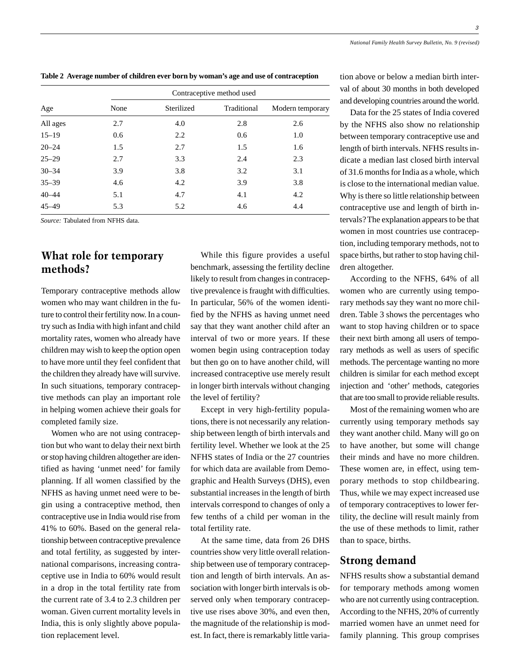**Table 2 Average number of children ever born by woman's age and use of contraception**

| Age       | Contraceptive method used |            |             |                  |  |  |  |
|-----------|---------------------------|------------|-------------|------------------|--|--|--|
|           | None                      | Sterilized | Traditional | Modern temporary |  |  |  |
| All ages  | 2.7                       | 4.0        | 2.8         | 2.6              |  |  |  |
| $15 - 19$ | 0.6                       | 2.2        | 0.6         | 1.0              |  |  |  |
| $20 - 24$ | 1.5                       | 2.7        | 1.5         | 1.6              |  |  |  |
| $25 - 29$ | 2.7                       | 3.3        | 2.4         | 2.3              |  |  |  |
| $30 - 34$ | 3.9                       | 3.8        | 3.2         | 3.1              |  |  |  |
| $35 - 39$ | 4.6                       | 4.2        | 3.9         | 3.8              |  |  |  |
| $40 - 44$ | 5.1                       | 4.7        | 4.1         | 4.2              |  |  |  |
| $45 - 49$ | 5.3                       | 5.2        | 4.6         | 4.4              |  |  |  |

*Source:* Tabulated from NFHS data.

## What role for temporary methods?

Temporary contraceptive methods allow women who may want children in the future to control their fertility now. In a country such as India with high infant and child mortality rates, women who already have children may wish to keep the option open to have more until they feel confident that the children they already have will survive. In such situations, temporary contraceptive methods can play an important role in helping women achieve their goals for completed family size.

Women who are not using contraception but who want to delay their next birth or stop having children altogether are identified as having 'unmet need' for family planning. If all women classified by the NFHS as having unmet need were to begin using a contraceptive method, then contraceptive use in India would rise from 41% to 60%. Based on the general relationship between contraceptive prevalence and total fertility, as suggested by international comparisons, increasing contraceptive use in India to 60% would result in a drop in the total fertility rate from the current rate of 3.4 to 2.3 children per woman. Given current mortality levels in India, this is only slightly above population replacement level.

While this figure provides a useful benchmark, assessing the fertility decline likely to result from changes in contraceptive prevalence is fraught with difficulties. In particular, 56% of the women identified by the NFHS as having unmet need say that they want another child after an interval of two or more years. If these women begin using contraception today but then go on to have another child, will increased contraceptive use merely result in longer birth intervals without changing the level of fertility?

Except in very high-fertility populations, there is not necessarily any relationship between length of birth intervals and fertility level. Whether we look at the 25 NFHS states of India or the 27 countries for which data are available from Demographic and Health Surveys (DHS), even substantial increases in the length of birth intervals correspond to changes of only a few tenths of a child per woman in the total fertility rate.

At the same time, data from 26 DHS countries show very little overall relationship between use of temporary contraception and length of birth intervals. An association with longer birth intervals is observed only when temporary contraceptive use rises above 30%, and even then, the magnitude of the relationship is modest. In fact, there is remarkably little variation above or below a median birth interval of about 30 months in both developed and developing countries around the world.

Data for the 25 states of India covered by the NFHS also show no relationship between temporary contraceptive use and length of birth intervals. NFHS results indicate a median last closed birth interval of 31.6 months for India as a whole, which is close to the international median value. Why is there so little relationship between contraceptive use and length of birth intervals? The explanation appears to be that women in most countries use contraception, including temporary methods, not to space births, but rather to stop having children altogether.

According to the NFHS, 64% of all women who are currently using temporary methods say they want no more children. Table 3 shows the percentages who want to stop having children or to space their next birth among all users of temporary methods as well as users of specific methods. The percentage wanting no more children is similar for each method except injection and 'other' methods, categories that are too small to provide reliable results.

Most of the remaining women who are currently using temporary methods say they want another child. Many will go on to have another, but some will change their minds and have no more children. These women are, in effect, using temporary methods to stop childbearing. Thus, while we may expect increased use of temporary contraceptives to lower fertility, the decline will result mainly from the use of these methods to limit, rather than to space, births.

## Strong demand

NFHS results show a substantial demand for temporary methods among women who are not currently using contraception. According to the NFHS, 20% of currently married women have an unmet need for family planning. This group comprises